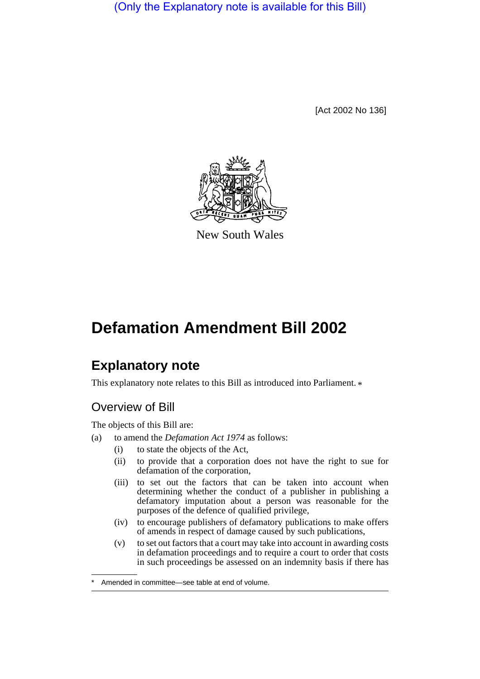(Only the Explanatory note is available for this Bill)

[Act 2002 No 136]



New South Wales

# **Defamation Amendment Bill 2002**

## **Explanatory note**

This explanatory note relates to this Bill as introduced into Parliament.  $*$ 

### Overview of Bill

The objects of this Bill are:

- (a) to amend the *Defamation Act 1974* as follows:
	- (i) to state the objects of the Act,
		- (ii) to provide that a corporation does not have the right to sue for defamation of the corporation,
		- (iii) to set out the factors that can be taken into account when determining whether the conduct of a publisher in publishing a defamatory imputation about a person was reasonable for the purposes of the defence of qualified privilege,
		- (iv) to encourage publishers of defamatory publications to make offers of amends in respect of damage caused by such publications,
		- (v) to set out factors that a court may take into account in awarding costs in defamation proceedings and to require a court to order that costs in such proceedings be assessed on an indemnity basis if there has

Amended in committee—see table at end of volume.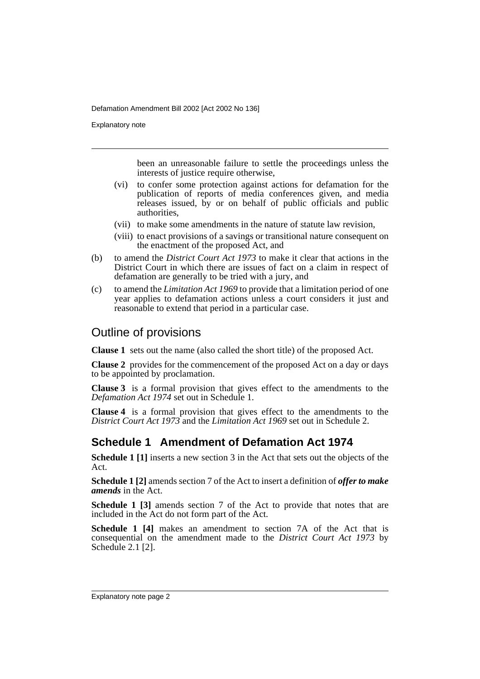Explanatory note

been an unreasonable failure to settle the proceedings unless the interests of justice require otherwise,

- (vi) to confer some protection against actions for defamation for the publication of reports of media conferences given, and media releases issued, by or on behalf of public officials and public authorities,
- (vii) to make some amendments in the nature of statute law revision,
- (viii) to enact provisions of a savings or transitional nature consequent on the enactment of the proposed Act, and
- (b) to amend the *District Court Act 1973* to make it clear that actions in the District Court in which there are issues of fact on a claim in respect of defamation are generally to be tried with a jury, and
- (c) to amend the *Limitation Act 1969* to provide that a limitation period of one year applies to defamation actions unless a court considers it just and reasonable to extend that period in a particular case.

#### Outline of provisions

**Clause 1** sets out the name (also called the short title) of the proposed Act.

**Clause 2** provides for the commencement of the proposed Act on a day or days to be appointed by proclamation.

**Clause 3** is a formal provision that gives effect to the amendments to the *Defamation Act 1974* set out in Schedule 1.

**Clause 4** is a formal provision that gives effect to the amendments to the *District Court Act 1973* and the *Limitation Act 1969* set out in Schedule 2.

#### **Schedule 1 Amendment of Defamation Act 1974**

**Schedule 1 [1]** inserts a new section 3 in the Act that sets out the objects of the Act.

**Schedule 1 [2]** amends section 7 of the Act to insert a definition of *offer to make amends* in the Act.

**Schedule 1 [3]** amends section 7 of the Act to provide that notes that are included in the Act do not form part of the Act.

**Schedule 1 [4]** makes an amendment to section 7A of the Act that is consequential on the amendment made to the *District Court Act 1973* by Schedule 2.1 [2].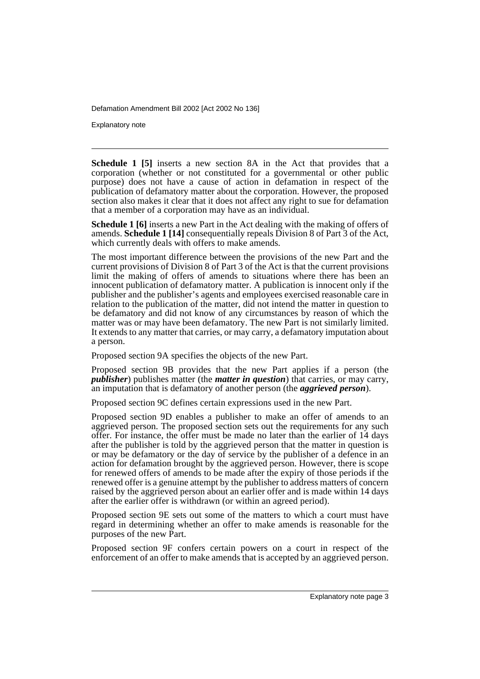Explanatory note

**Schedule 1 [5]** inserts a new section 8A in the Act that provides that a corporation (whether or not constituted for a governmental or other public purpose) does not have a cause of action in defamation in respect of the publication of defamatory matter about the corporation. However, the proposed section also makes it clear that it does not affect any right to sue for defamation that a member of a corporation may have as an individual.

**Schedule 1 [6]** inserts a new Part in the Act dealing with the making of offers of amends. **Schedule 1 [14]** consequentially repeals Division 8 of Part 3 of the Act, which currently deals with offers to make amends.

The most important difference between the provisions of the new Part and the current provisions of Division 8 of Part 3 of the Act is that the current provisions limit the making of offers of amends to situations where there has been an innocent publication of defamatory matter. A publication is innocent only if the publisher and the publisher's agents and employees exercised reasonable care in relation to the publication of the matter, did not intend the matter in question to be defamatory and did not know of any circumstances by reason of which the matter was or may have been defamatory. The new Part is not similarly limited. It extends to any matter that carries, or may carry, a defamatory imputation about a person.

Proposed section 9A specifies the objects of the new Part.

Proposed section 9B provides that the new Part applies if a person (the *publisher*) publishes matter (the *matter in question*) that carries, or may carry, an imputation that is defamatory of another person (the *aggrieved person*).

Proposed section 9C defines certain expressions used in the new Part.

Proposed section 9D enables a publisher to make an offer of amends to an aggrieved person. The proposed section sets out the requirements for any such offer. For instance, the offer must be made no later than the earlier of 14 days after the publisher is told by the aggrieved person that the matter in question is or may be defamatory or the day of service by the publisher of a defence in an action for defamation brought by the aggrieved person. However, there is scope for renewed offers of amends to be made after the expiry of those periods if the renewed offer is a genuine attempt by the publisher to address matters of concern raised by the aggrieved person about an earlier offer and is made within 14 days after the earlier offer is withdrawn (or within an agreed period).

Proposed section 9E sets out some of the matters to which a court must have regard in determining whether an offer to make amends is reasonable for the purposes of the new Part.

Proposed section 9F confers certain powers on a court in respect of the enforcement of an offer to make amends that is accepted by an aggrieved person.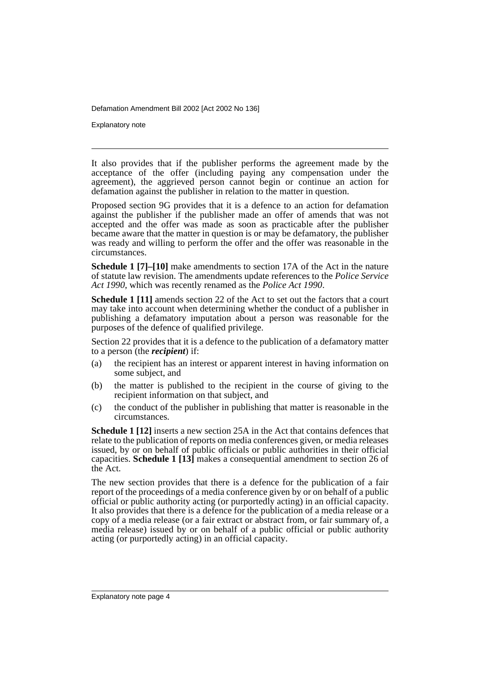Explanatory note

It also provides that if the publisher performs the agreement made by the acceptance of the offer (including paying any compensation under the agreement), the aggrieved person cannot begin or continue an action for defamation against the publisher in relation to the matter in question.

Proposed section 9G provides that it is a defence to an action for defamation against the publisher if the publisher made an offer of amends that was not accepted and the offer was made as soon as practicable after the publisher became aware that the matter in question is or may be defamatory, the publisher was ready and willing to perform the offer and the offer was reasonable in the circumstances.

**Schedule 1 [7]–[10]** make amendments to section 17A of the Act in the nature of statute law revision. The amendments update references to the *Police Service Act 1990*, which was recently renamed as the *Police Act 1990*.

**Schedule 1 [11]** amends section 22 of the Act to set out the factors that a court may take into account when determining whether the conduct of a publisher in publishing a defamatory imputation about a person was reasonable for the purposes of the defence of qualified privilege.

Section 22 provides that it is a defence to the publication of a defamatory matter to a person (the *recipient*) if:

- (a) the recipient has an interest or apparent interest in having information on some subject, and
- (b) the matter is published to the recipient in the course of giving to the recipient information on that subject, and
- (c) the conduct of the publisher in publishing that matter is reasonable in the circumstances.

**Schedule 1 [12]** inserts a new section 25A in the Act that contains defences that relate to the publication of reports on media conferences given, or media releases issued, by or on behalf of public officials or public authorities in their official capacities. **Schedule 1 [13]** makes a consequential amendment to section 26 of the Act.

The new section provides that there is a defence for the publication of a fair report of the proceedings of a media conference given by or on behalf of a public official or public authority acting (or purportedly acting) in an official capacity. It also provides that there is a defence for the publication of a media release or a copy of a media release (or a fair extract or abstract from, or fair summary of, a media release) issued by or on behalf of a public official or public authority acting (or purportedly acting) in an official capacity.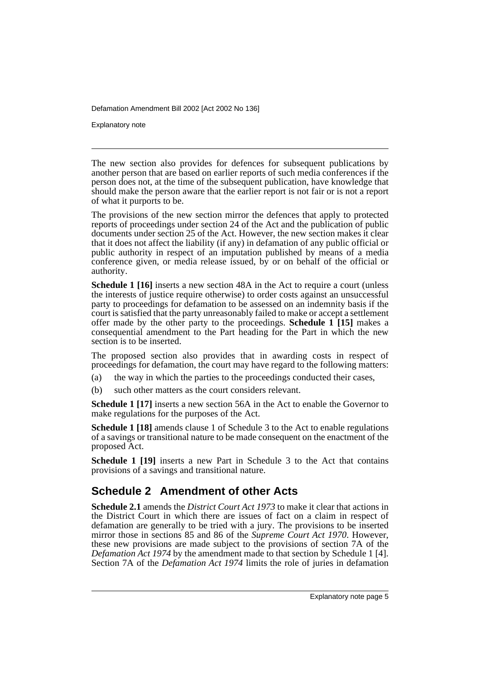Explanatory note

The new section also provides for defences for subsequent publications by another person that are based on earlier reports of such media conferences if the person does not, at the time of the subsequent publication, have knowledge that should make the person aware that the earlier report is not fair or is not a report of what it purports to be.

The provisions of the new section mirror the defences that apply to protected reports of proceedings under section 24 of the Act and the publication of public documents under section 25 of the Act. However, the new section makes it clear that it does not affect the liability (if any) in defamation of any public official or public authority in respect of an imputation published by means of a media conference given, or media release issued, by or on behalf of the official or authority.

**Schedule 1 [16]** inserts a new section 48A in the Act to require a court (unless the interests of justice require otherwise) to order costs against an unsuccessful party to proceedings for defamation to be assessed on an indemnity basis if the court is satisfied that the party unreasonably failed to make or accept a settlement offer made by the other party to the proceedings. **Schedule 1 [15]** makes a consequential amendment to the Part heading for the Part in which the new section is to be inserted.

The proposed section also provides that in awarding costs in respect of proceedings for defamation, the court may have regard to the following matters:

- (a) the way in which the parties to the proceedings conducted their cases,
- (b) such other matters as the court considers relevant.

**Schedule 1 [17]** inserts a new section 56A in the Act to enable the Governor to make regulations for the purposes of the Act.

**Schedule 1 [18]** amends clause 1 of Schedule 3 to the Act to enable regulations of a savings or transitional nature to be made consequent on the enactment of the proposed Act.

**Schedule 1 [19]** inserts a new Part in Schedule 3 to the Act that contains provisions of a savings and transitional nature.

#### **Schedule 2 Amendment of other Acts**

**Schedule 2.1** amends the *District Court Act 1973* to make it clear that actions in the District Court in which there are issues of fact on a claim in respect of defamation are generally to be tried with a jury. The provisions to be inserted mirror those in sections 85 and 86 of the *Supreme Court Act 1970*. However, these new provisions are made subject to the provisions of section 7A of the *Defamation Act 1974* by the amendment made to that section by Schedule 1 [4]. Section 7A of the *Defamation Act 1974* limits the role of juries in defamation